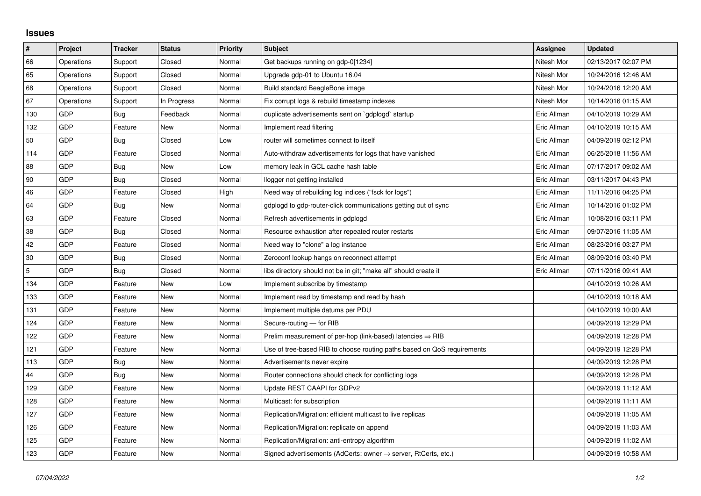## **Issues**

| $\pmb{\#}$     | Project    | <b>Tracker</b> | <b>Status</b> | <b>Priority</b> | <b>Subject</b>                                                             | Assignee    | <b>Updated</b>      |
|----------------|------------|----------------|---------------|-----------------|----------------------------------------------------------------------------|-------------|---------------------|
| 66             | Operations | Support        | Closed        | Normal          | Get backups running on gdp-0[1234]                                         | Nitesh Mor  | 02/13/2017 02:07 PM |
| 65             | Operations | Support        | Closed        | Normal          | Upgrade gdp-01 to Ubuntu 16.04                                             | Nitesh Mor  | 10/24/2016 12:46 AM |
| 68             | Operations | Support        | Closed        | Normal          | Build standard BeagleBone image                                            | Nitesh Mor  | 10/24/2016 12:20 AM |
| 67             | Operations | Support        | In Progress   | Normal          | Fix corrupt logs & rebuild timestamp indexes                               | Nitesh Mor  | 10/14/2016 01:15 AM |
| 130            | <b>GDP</b> | Bug            | Feedback      | Normal          | duplicate advertisements sent on `gdplogd` startup                         | Eric Allman | 04/10/2019 10:29 AM |
| 132            | <b>GDP</b> | Feature        | <b>New</b>    | Normal          | Implement read filtering                                                   | Eric Allman | 04/10/2019 10:15 AM |
| 50             | <b>GDP</b> | Bug            | Closed        | Low             | router will sometimes connect to itself                                    | Eric Allman | 04/09/2019 02:12 PM |
| 114            | GDP        | Feature        | Closed        | Normal          | Auto-withdraw advertisements for logs that have vanished                   | Eric Allman | 06/25/2018 11:56 AM |
| 88             | <b>GDP</b> | Bug            | <b>New</b>    | Low             | memory leak in GCL cache hash table                                        | Eric Allman | 07/17/2017 09:02 AM |
| 90             | <b>GDP</b> | Bug            | Closed        | Normal          | llogger not getting installed                                              | Eric Allman | 03/11/2017 04:43 PM |
| 46             | <b>GDP</b> | Feature        | Closed        | High            | Need way of rebuilding log indices ("fsck for logs")                       | Eric Allman | 11/11/2016 04:25 PM |
| 64             | GDP        | Bug            | New           | Normal          | gdplogd to gdp-router-click communications getting out of sync             | Eric Allman | 10/14/2016 01:02 PM |
| 63             | <b>GDP</b> | Feature        | Closed        | Normal          | Refresh advertisements in gdplogd                                          | Eric Allman | 10/08/2016 03:11 PM |
| 38             | GDP        | Bug            | Closed        | Normal          | Resource exhaustion after repeated router restarts                         | Eric Allman | 09/07/2016 11:05 AM |
| 42             | <b>GDP</b> | Feature        | Closed        | Normal          | Need way to "clone" a log instance                                         | Eric Allman | 08/23/2016 03:27 PM |
| 30             | <b>GDP</b> | Bug            | Closed        | Normal          | Zeroconf lookup hangs on reconnect attempt                                 | Eric Allman | 08/09/2016 03:40 PM |
| $\overline{5}$ | GDP        | Bug            | Closed        | Normal          | libs directory should not be in git; "make all" should create it           | Eric Allman | 07/11/2016 09:41 AM |
| 134            | <b>GDP</b> | Feature        | New           | Low             | Implement subscribe by timestamp                                           |             | 04/10/2019 10:26 AM |
| 133            | <b>GDP</b> | Feature        | New           | Normal          | Implement read by timestamp and read by hash                               |             | 04/10/2019 10:18 AM |
| 131            | GDP        | Feature        | <b>New</b>    | Normal          | Implement multiple datums per PDU                                          |             | 04/10/2019 10:00 AM |
| 124            | GDP        | Feature        | New           | Normal          | Secure-routing - for RIB                                                   |             | 04/09/2019 12:29 PM |
| 122            | <b>GDP</b> | Feature        | <b>New</b>    | Normal          | Prelim measurement of per-hop (link-based) latencies $\Rightarrow$ RIB     |             | 04/09/2019 12:28 PM |
| 121            | GDP        | Feature        | New           | Normal          | Use of tree-based RIB to choose routing paths based on QoS requirements    |             | 04/09/2019 12:28 PM |
| 113            | <b>GDP</b> | Bug            | New           | Normal          | Advertisements never expire                                                |             | 04/09/2019 12:28 PM |
| 44             | <b>GDP</b> | Bug            | New           | Normal          | Router connections should check for conflicting logs                       |             | 04/09/2019 12:28 PM |
| 129            | GDP        | Feature        | New           | Normal          | Update REST CAAPI for GDPv2                                                |             | 04/09/2019 11:12 AM |
| 128            | <b>GDP</b> | Feature        | <b>New</b>    | Normal          | Multicast: for subscription                                                |             | 04/09/2019 11:11 AM |
| 127            | <b>GDP</b> | Feature        | <b>New</b>    | Normal          | Replication/Migration: efficient multicast to live replicas                |             | 04/09/2019 11:05 AM |
| 126            | GDP        | Feature        | <b>New</b>    | Normal          | Replication/Migration: replicate on append                                 |             | 04/09/2019 11:03 AM |
| 125            | GDP        | Feature        | New           | Normal          | Replication/Migration: anti-entropy algorithm                              |             | 04/09/2019 11:02 AM |
| 123            | GDP        | Feature        | <b>New</b>    | Normal          | Signed advertisements (AdCerts: owner $\rightarrow$ server, RtCerts, etc.) |             | 04/09/2019 10:58 AM |